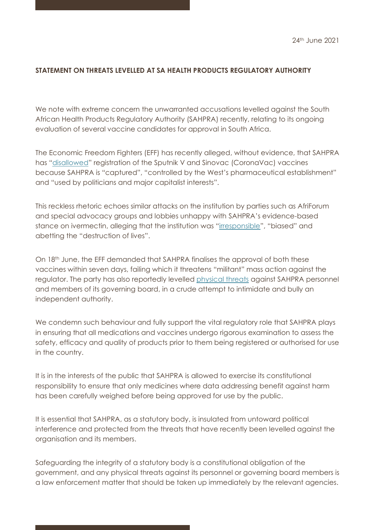## **STATEMENT ON THREATS LEVELLED AT SA HEALTH PRODUCTS REGULATORY AUTHORITY**

We note with extreme concern the unwarranted accusations levelled against the South African Health Products Regulatory Authority (SAHPRA) recently, relating to its ongoing evaluation of several vaccine candidates for approval in South Africa.

The Economic Freedom Fighters (EFF) has recently alleged, without evidence, that SAHPRA has "[disallowed](https://www.politicsweb.co.za/politics/eff-to-march-to-demand-chinese-and-russian-vaccine)" registration of the Sputnik V and Sinovac (CoronaVac) vaccines because SAHPRA is "captured", "controlled by the West's pharmaceutical establishment" and "used by politicians and major capitalist interests".

This reckless rhetoric echoes similar attacks on the institution by parties such as AfriForum and special advocacy groups and lobbies unhappy with SAHPRA's evidence-based stance on ivermectin, alleging that the institution was "[irresponsible](https://afriforum.co.za/en/authorities-implored-to-recommend-ivermectin-for-the-treatment-of-covid-19-with-third-wave-looming/)", "biased" and abetting the "destruction of lives".

On 18th June, the EFF demanded that SAHPRA finalises the approval of both these vaccines within seven days, failing which it threatens "militant" mass action against the regulator. The party has also reportedly levelled [physical threats](https://citizen.co.za/news/2540437/sahpra-approve-russia-chinese-vaccines-says-malema/#.YNHzVb8xO_U.whatsapp) against SAHPRA personnel and members of its governing board, in a crude attempt to intimidate and bully an independent authority.

We condemn such behaviour and fully support the vital regulatory role that SAHPRA plays in ensuring that all medications and vaccines undergo rigorous examination to assess the safety, efficacy and quality of products prior to them being registered or authorised for use in the country.

It is in the interests of the public that SAHPRA is allowed to exercise its constitutional responsibility to ensure that only medicines where data addressing benefit against harm has been carefully weighed before being approved for use by the public.

It is essential that SAHPRA, as a statutory body, is insulated from untoward political interference and protected from the threats that have recently been levelled against the organisation and its members.

Safeguarding the integrity of a statutory body is a constitutional obligation of the government, and any physical threats against its personnel or governing board members is a law enforcement matter that should be taken up immediately by the relevant agencies.